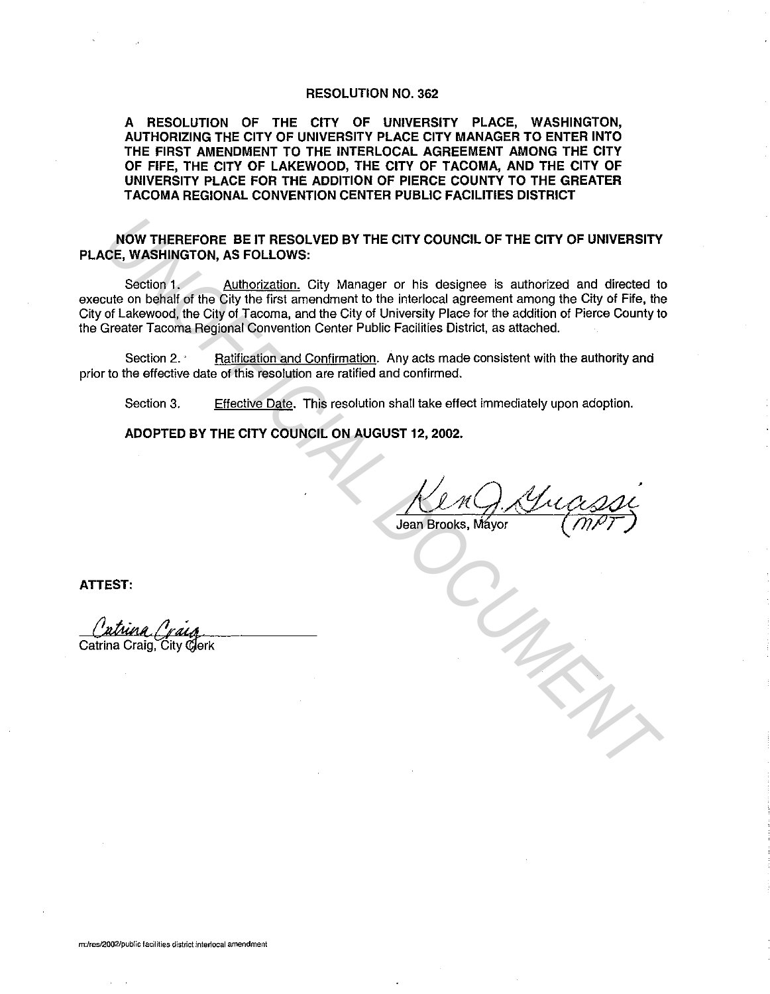## RESOLUTION NO. 362

A RESOLUTION OF THE CITY OF UNIVERSITY PLACE, WASHINGTON, AUTHORIZING THE CITY OF UNIVERSITY PLACE CITY MANAGER TO ENTER INTO THE FIRST AMENDMENT TO THE INTERLOCAL AGREEMENT AMONG THE CITY OF FIFE, THE CITY OF LAKEWOOD, THE CITY OF TACOMA, AND THE CITY OF UNIVERSITY PLACE FOR THE ADDITION OF PIERCE COUNTY TO THE GREATER TACOMA REGIONAL CONVENTION CENTER PUBLIC FACILITIES DISTRICT

NOW THEREFORE BE IT RESOLVED BY THE CITY COUNCIL OF THE CITY OF UNIVERSITY PLACE, WASHINGTON, AS FOLLOWS:

Section 1. Authorization. City Manager or his designee is authorized and directed to execute on behalf of the City the first amendment to the interlocal agreement among the City of Fife, the City of Lakewood, the City of Tacoma, and the City of University Place for the addition of Pierce County to the Greater Tacoma Regional Convention Center Public Facilities District, as attached. **NOW THEREFORE BE IT RESOLVED BY THE CITY COUNCIL OF THE CITY OF UNIVERSITY**<br>CE, WASHINGTON, AS FOLLOWS:<br>Existend 1, AMENOIZation. City Manager or his designee is authorized and directed the<br>city of the City the first amen

Section 2. · Ratification and Confirmation. Any acts made consistent with the authority and prior to the effective date of this resolution are ratified and confirmed.

Section 3. Effective Date. This resolution shall take effect immediately upon adoption.

ADOPTED BY THE CITY COUNCIL ON AUGUST 12, 2002.

ATTEST: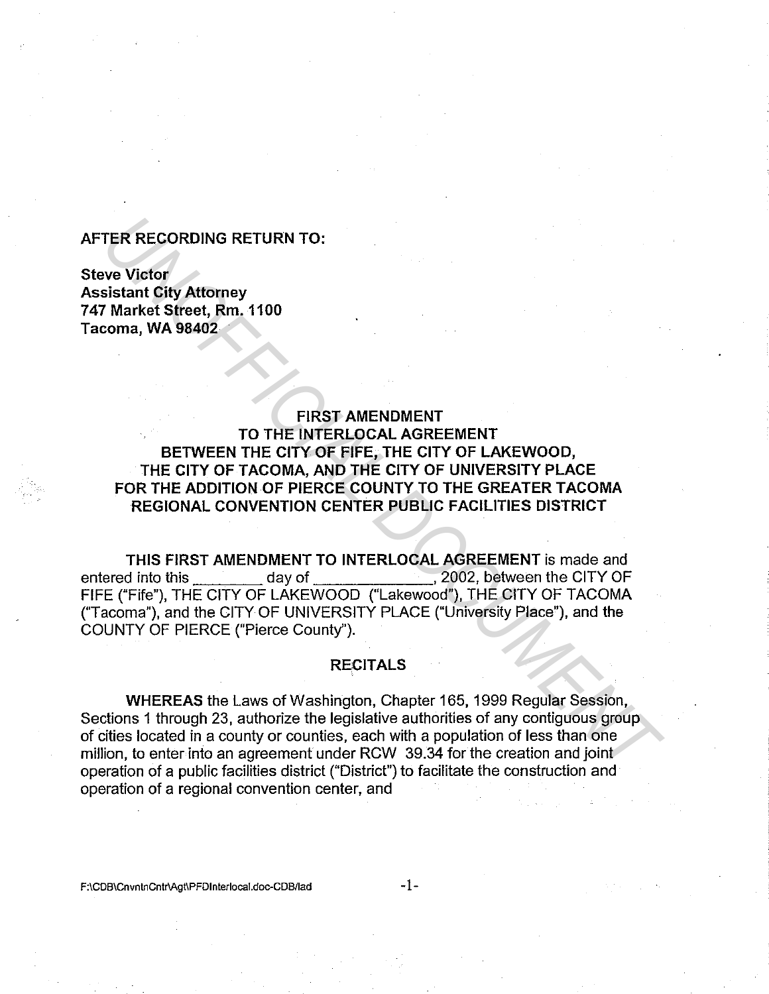## **AFTER RECORDING RETURN TO:**

**Steve Victor Assistant City Attorney 7 47 Market Street, Rm. 1100 Tacoma, WA 98402** 

**FIRST AMENDMENT TO THE INTERLOCAL AGREEMENT BETWEEN THE CITY OF FIFE, THE CITY OF LAKEWOOD, THE CITY OF TACOMA, AND THE CITY OF UNIVERSITY PLACE FOR THE ADDITION OF PIERCE COUNTY TO THE GREATER TACOMA REGIONAL CONVENTION CENTER PUBLIC FACILITIES DISTRICT TER RECORDING RETURN TO:**<br> **VARIANT GIVE AREAS (Rm, 1100**<br> **VARIANT SIGNAL DOMES SERVER THE CITY OF TACTAL DOMES THE CITY OF TACOMA, AND THE CITY OF UNIVERSITY PLACE<br>
THE CITY OF TACOMA, AND THE CITY OF UNIVERSITY PLACE<br>** 

**THIS FIRST AMENDMENT TO INTERLOCAL AGREEMENT** is made and entered into this day of , 2002, between the CITY OF FIFE ("Fife"), THE CITY OF LAKEWOOD ("Lakewood"), THE CITY OF TACOMA ('Tacoma"), and the CITY OF UNIVERSITY PLACE ("University Place"), and the COUNTY OF PIERCE ("Pierce County").

## **RECITALS**

**WHEREAS** the Laws of Washington, Chapter 165, 1999 Regular Session, Sections 1 through 23, authorize the legislative authorities of any contiguous group of cities located in a county or counties, each with a population of less than one million, to enter into an agreement under RCW 39.34 for the creation and joint operation of a public facilities district ("District") to facilitate the construction and operation of a regional convention center, and

F:\CDB\CnvntnCntr\Agt\PFDInterlocal.doc-CDB/lad -1-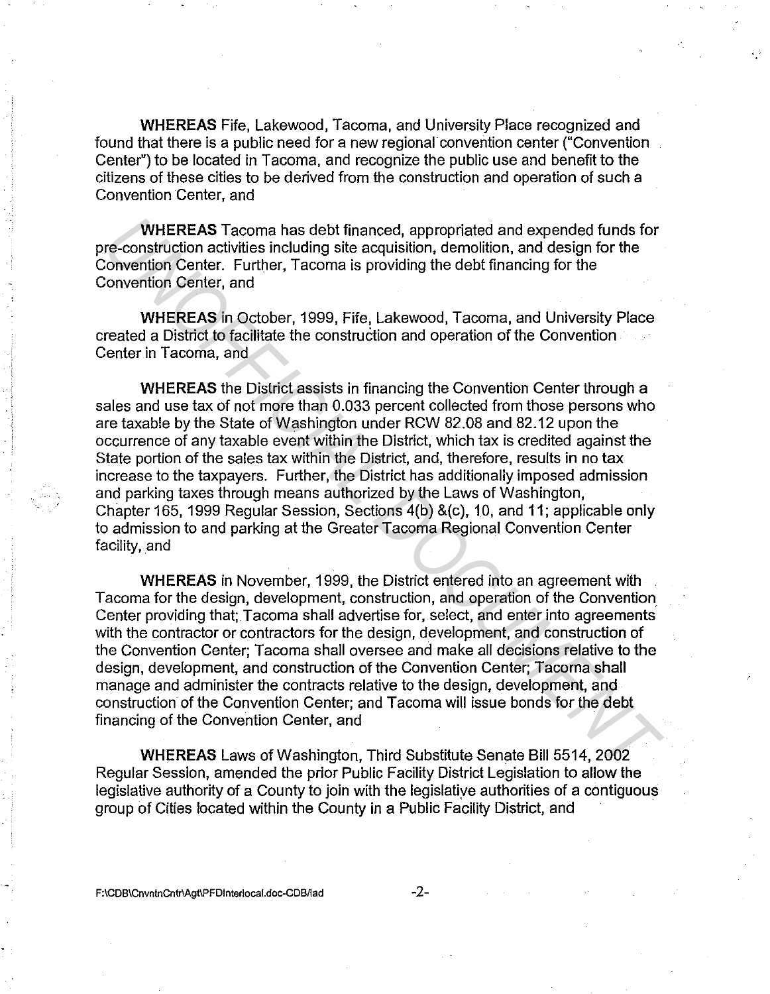**WHEREAS** Fife, Lakewood, Tacoma, and University Place recognized and found that there is a public need for a new regional convention center ("Convention Center") to be located in Tacoma, and recognize the public use and benefit to the citizens of these cities to be derived from the construction and operation of such a Convention Center, and

**WHEREAS** Tacoma has debt financed, appropriated and expended funds for pre-construction activities including site acquisition, demolition, and design for the Convention Center. Further, Tacoma is providing the debt financing for the Convention Center, and

**WHEREAS** in October, 1999, Fife, Lakewood, Tacoma, and University Place created a District to facilitate the construction and operation of the Convention Center in Tacoma, and

**WHEREAS** the District assists in financing the Convention Center through a sales and use tax of not more than 0.033 percent collected from those persons who are taxable by the State of Washington under RCW 82.08 and 82.12 upon the occurrence of any taxable event within the District, which tax is credited against the State portion of the sales tax within the District, and, therefore, results in no tax increase to the taxpayers. Further, the District has additionally imposed admission and parking taxes through means authorized by the Laws of Washington, Chapter 165, 1999 Regular Session, Sections 4(b) &(c), 10, and 11; applicable only to admission to and parking at the Greater Tacoma Regional Convention Center facility, and **WHEREAS** Tacoma has debt financed, appropriated and expended funds for<br> *UNHEREAS* including site acquisition, demolition, and design for the<br> *UNHEREAS* including site acquisition, demolition, and design for the<br>
forwers

**WHEREAS** in November, 1999, the District entered into an agreement with Tacoma for the design, development, construction, and operation of the Convention Center providing that; Tacoma shall advertise for, select, and enter into agreements with the contractor or contractors for the design, development, and construction of the Convention Center; Tacoma shall oversee and make all decisions relative to the design, development, and construction of the Convention Center; Tacoma shall manage and administer the contracts relative to the design, development, and construction of the Convention Center; and Tacoma will issue bonds for the debt financing of the Convention Center, and

**WHEREAS** Laws of Washington, Third Substitute Senate Bill 5514, 2002 Regular Session, amended the prior Public Facility District Legislation to allow the legislative authority of a County to join with the legislatiye authorities of a contiguous group of Cities located within the County in a Public Facility District, and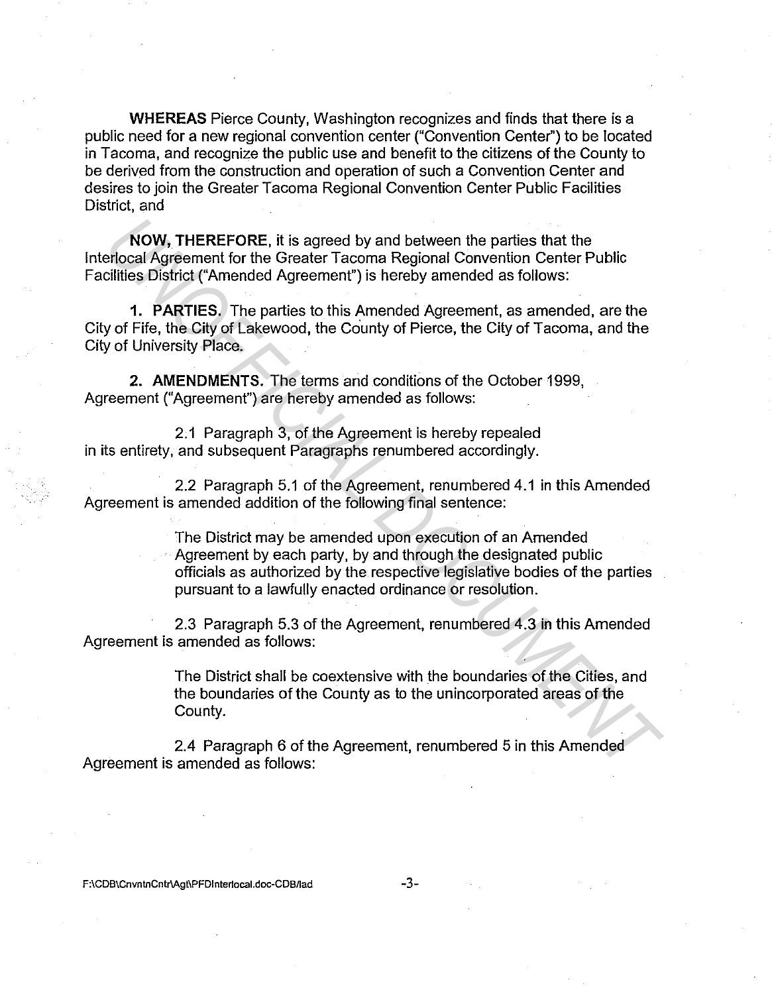**WHEREAS** Pierce County, Washington recognizes and finds that there is a public need for a new regional convention center ("Convention Center") to be located in Tacoma, and recognize the public use and benefit to the citizens of the County to be derived from the construction and operation of such a Convention Center and desires to join the Greater Tacoma Regional Convention Center Public Facilities District, and

**NOW, THEREFORE,** it is agreed by and between the parties that the lnterlocal Agreement for the Greater Tacoma Regional Convention Center Public Facilities District ("Amended Agreement") is hereby amended as follows:

**1. PARTIES.** The parties to this Amended Agreement, as amended, are the City of Fife, the City of Lakewood, the County of Pierce, the City of Tacoma, and the City of University Place.

**2. AMENDMENTS.** The terms and conditions of the October 1999, Agreement ("Agreement") are hereby amended as follows:

2.1 Paragraph 3, of the Agreement is hereby repealed in its entirety, and subsequent Paragraphs renumbered accordingly.

2.2 Paragraph 5.1 of the Agreement, renumbered 4.1 in this Amended Agreement is amended addition of the following final sentence:

The District may be amended upon execution of an Amended Agreement by each party, by and through the designated public officials as authorized by the respective legislative bodies of the parties pursuant to a lawfully enacted ordinance or resolution. **NOW, THEREFORE, it is agreed by and between the parties that the phocal Agreement for the Greater Tacoma Regional Convention Center Public<br>
1. PARTIES, The parties to this Amended Agreement, as amended, are the<br>
1. PARTIE** 

2.3 Paragraph 5.3 of the Agreement, renumbered 4.3 in this Amended Agreement is amended as follows:

> The District shall be coextensive with the boundaries of the Cities, and the boundaries of the County as to the unincorporated areas of the County.

2.4 Paragraph 6 of the Agreement, renumbered 5 in this Amended Agreement is amended as follows:

F:\CDB\CnvntnCntr\Agt\PFDInterlocal.doc-CDB/lad -3-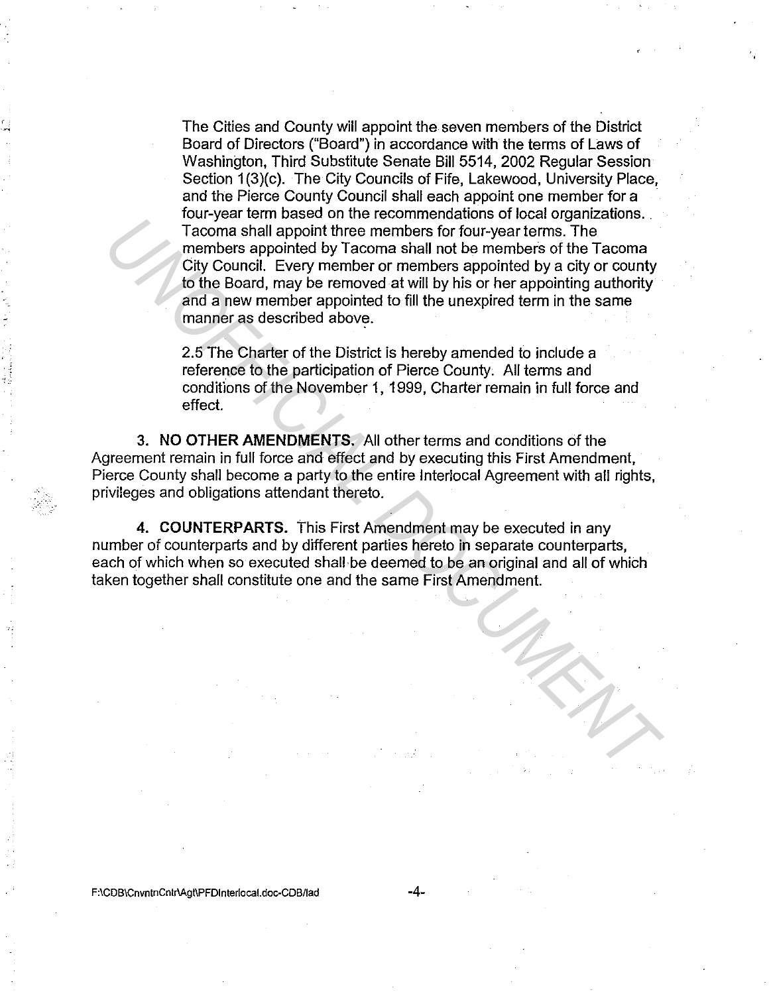The Cities and County will appoint the seven members of the District Board of Directors ("Board") in accordance with the terms of Laws of Washington, Third Substitute Senate Bill 5514, 2002 Regular Session Section 1(3)(c). The City Councils of Fife, Lakewood, University Place, and the Pierce County Council shall each appoint one member for a four-year term based on the recommendations of local organizations. Tacoma shall appoint three members for four-year terms. The members appointed by Tacoma shall not be members of the Tacoma City Council. Every member or members appointed by a city or county to the Board, may be removed at will by his or her appointing authority and a new member appointed to fill the unexpired term in the same manner as described above. *Unity be commembers and not become the members for four-year terms. The*<br>
Tacoma shall appoint three members for four-year terms. The<br>
members appointed by Tacoma shall not be members of the Tacoma<br>
crity Council. Every m

2.5 The Charter of the District is hereby amended to include a reference to the participation of Pierce County. All terms and conditions of the November 1, 1999, Charter remain in full force and effect.

3. NO **OTHER AMENDMENTS.** All other terms and conditions of the Agreement remain in full force and effect and by executing this First Amendment, Pierce County shall become a party to the entire lnterlocal Agreement with all rights, privileges and obligations attendant thereto.

**4. COUNTERPARTS.** This First Amendment may be executed in any number of counterparts and by different parties hereto in separate counterparts, each of which when so executed shall be deemed to be an original and all of which taken together shall constitute one and the same First Amendment.